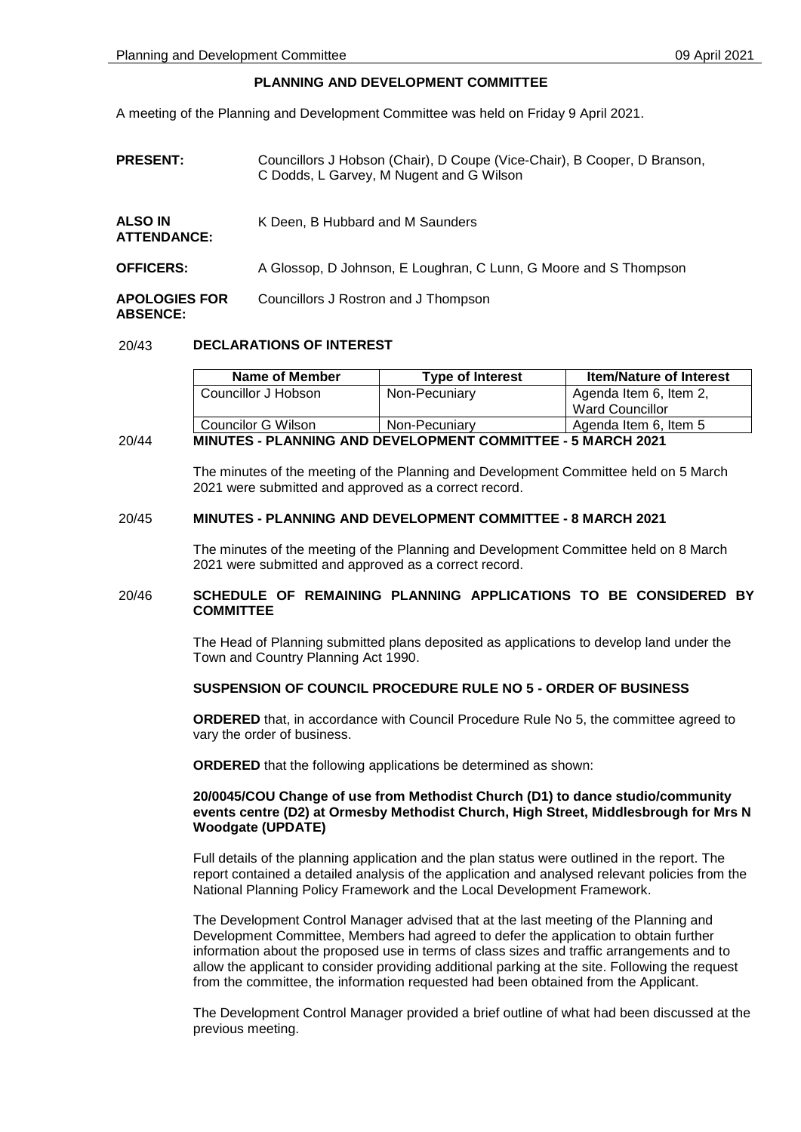# **PLANNING AND DEVELOPMENT COMMITTEE**

A meeting of the Planning and Development Committee was held on Friday 9 April 2021.

**PRESENT:** Councillors J Hobson (Chair), D Coupe (Vice-Chair), B Cooper, D Branson, C Dodds, L Garvey, M Nugent and G Wilson

| <b>ALSO IN</b><br><b>ATTENDANCE:</b> | K Deen, B Hubbard and M Saunders                                 |  |
|--------------------------------------|------------------------------------------------------------------|--|
| <b>OFFICERS:</b>                     | A Glossop, D Johnson, E Loughran, C Lunn, G Moore and S Thompson |  |
| <b>APOLOGIES FOR</b>                 | Councillors J Rostron and J Thompson                             |  |

# **ABSENCE:**

# 20/43 **DECLARATIONS OF INTEREST**

| Name of Member      | <b>Type of Interest</b> | <b>Item/Nature of Interest</b> |
|---------------------|-------------------------|--------------------------------|
| Councillor J Hobson | Non-Pecuniary           | Agenda Item 6, Item 2,         |
|                     |                         | Ward Councillor                |
| Councilor G Wilson  | Non-Pecuniary           | Agenda Item 6, Item 5          |

# 20/44 **MINUTES - PLANNING AND DEVELOPMENT COMMITTEE - 5 MARCH 2021**

The minutes of the meeting of the Planning and Development Committee held on 5 March 2021 were submitted and approved as a correct record.

# 20/45 **MINUTES - PLANNING AND DEVELOPMENT COMMITTEE - 8 MARCH 2021**

The minutes of the meeting of the Planning and Development Committee held on 8 March 2021 were submitted and approved as a correct record.

# 20/46 **SCHEDULE OF REMAINING PLANNING APPLICATIONS TO BE CONSIDERED BY COMMITTEE**

The Head of Planning submitted plans deposited as applications to develop land under the Town and Country Planning Act 1990.

# **SUSPENSION OF COUNCIL PROCEDURE RULE NO 5 - ORDER OF BUSINESS**

**ORDERED** that, in accordance with Council Procedure Rule No 5, the committee agreed to vary the order of business.

**ORDERED** that the following applications be determined as shown:

# **20/0045/COU Change of use from Methodist Church (D1) to dance studio/community events centre (D2) at Ormesby Methodist Church, High Street, Middlesbrough for Mrs N Woodgate (UPDATE)**

Full details of the planning application and the plan status were outlined in the report. The report contained a detailed analysis of the application and analysed relevant policies from the National Planning Policy Framework and the Local Development Framework.

The Development Control Manager advised that at the last meeting of the Planning and Development Committee, Members had agreed to defer the application to obtain further information about the proposed use in terms of class sizes and traffic arrangements and to allow the applicant to consider providing additional parking at the site. Following the request from the committee, the information requested had been obtained from the Applicant.

The Development Control Manager provided a brief outline of what had been discussed at the previous meeting.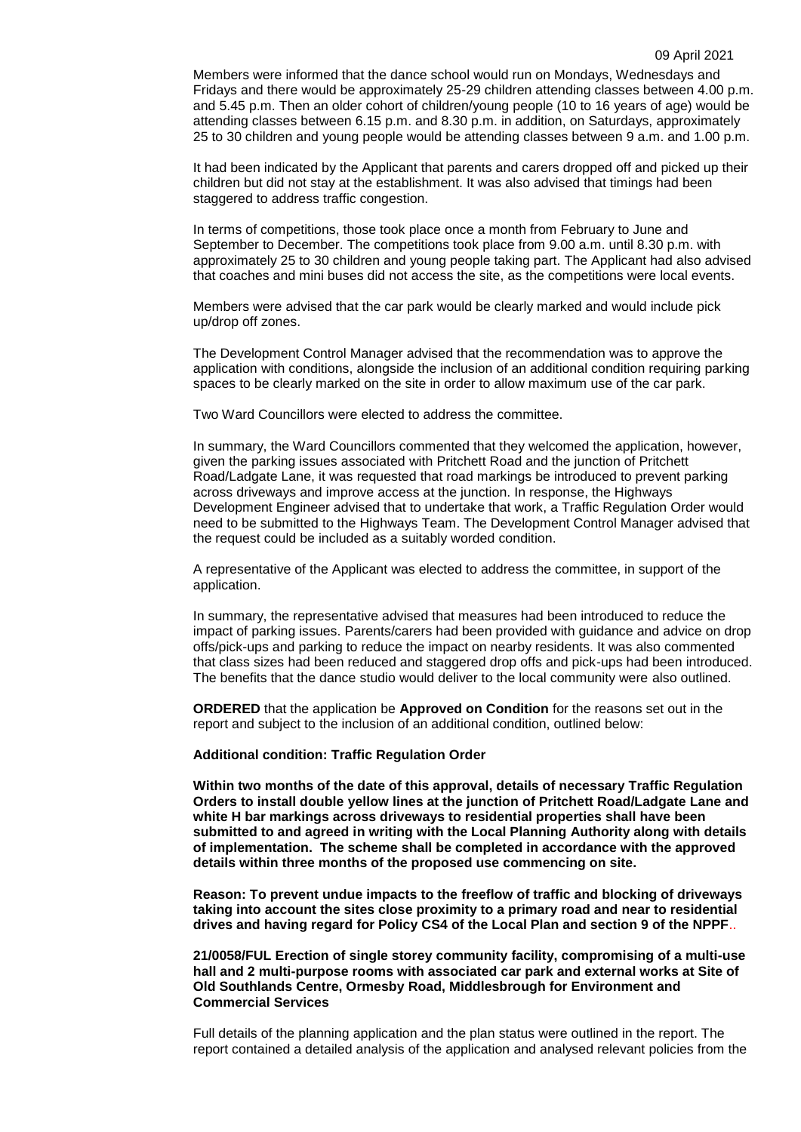Members were informed that the dance school would run on Mondays, Wednesdays and Fridays and there would be approximately 25-29 children attending classes between 4.00 p.m. and 5.45 p.m. Then an older cohort of children/young people (10 to 16 years of age) would be attending classes between 6.15 p.m. and 8.30 p.m. in addition, on Saturdays, approximately 25 to 30 children and young people would be attending classes between 9 a.m. and 1.00 p.m.

It had been indicated by the Applicant that parents and carers dropped off and picked up their children but did not stay at the establishment. It was also advised that timings had been staggered to address traffic congestion.

In terms of competitions, those took place once a month from February to June and September to December. The competitions took place from 9.00 a.m. until 8.30 p.m. with approximately 25 to 30 children and young people taking part. The Applicant had also advised that coaches and mini buses did not access the site, as the competitions were local events.

Members were advised that the car park would be clearly marked and would include pick up/drop off zones.

The Development Control Manager advised that the recommendation was to approve the application with conditions, alongside the inclusion of an additional condition requiring parking spaces to be clearly marked on the site in order to allow maximum use of the car park.

Two Ward Councillors were elected to address the committee.

In summary, the Ward Councillors commented that they welcomed the application, however, given the parking issues associated with Pritchett Road and the junction of Pritchett Road/Ladgate Lane, it was requested that road markings be introduced to prevent parking across driveways and improve access at the junction. In response, the Highways Development Engineer advised that to undertake that work, a Traffic Regulation Order would need to be submitted to the Highways Team. The Development Control Manager advised that the request could be included as a suitably worded condition.

A representative of the Applicant was elected to address the committee, in support of the application.

In summary, the representative advised that measures had been introduced to reduce the impact of parking issues. Parents/carers had been provided with guidance and advice on drop offs/pick-ups and parking to reduce the impact on nearby residents. It was also commented that class sizes had been reduced and staggered drop offs and pick-ups had been introduced. The benefits that the dance studio would deliver to the local community were also outlined.

**ORDERED** that the application be **Approved on Condition** for the reasons set out in the report and subject to the inclusion of an additional condition, outlined below:

#### **Additional condition: Traffic Regulation Order**

**Within two months of the date of this approval, details of necessary Traffic Regulation Orders to install double yellow lines at the junction of Pritchett Road/Ladgate Lane and white H bar markings across driveways to residential properties shall have been submitted to and agreed in writing with the Local Planning Authority along with details of implementation. The scheme shall be completed in accordance with the approved details within three months of the proposed use commencing on site.** 

**Reason: To prevent undue impacts to the freeflow of traffic and blocking of driveways taking into account the sites close proximity to a primary road and near to residential drives and having regard for Policy CS4 of the Local Plan and section 9 of the NPPF**..

**21/0058/FUL Erection of single storey community facility, compromising of a multi-use hall and 2 multi-purpose rooms with associated car park and external works at Site of Old Southlands Centre, Ormesby Road, Middlesbrough for Environment and Commercial Services**

Full details of the planning application and the plan status were outlined in the report. The report contained a detailed analysis of the application and analysed relevant policies from the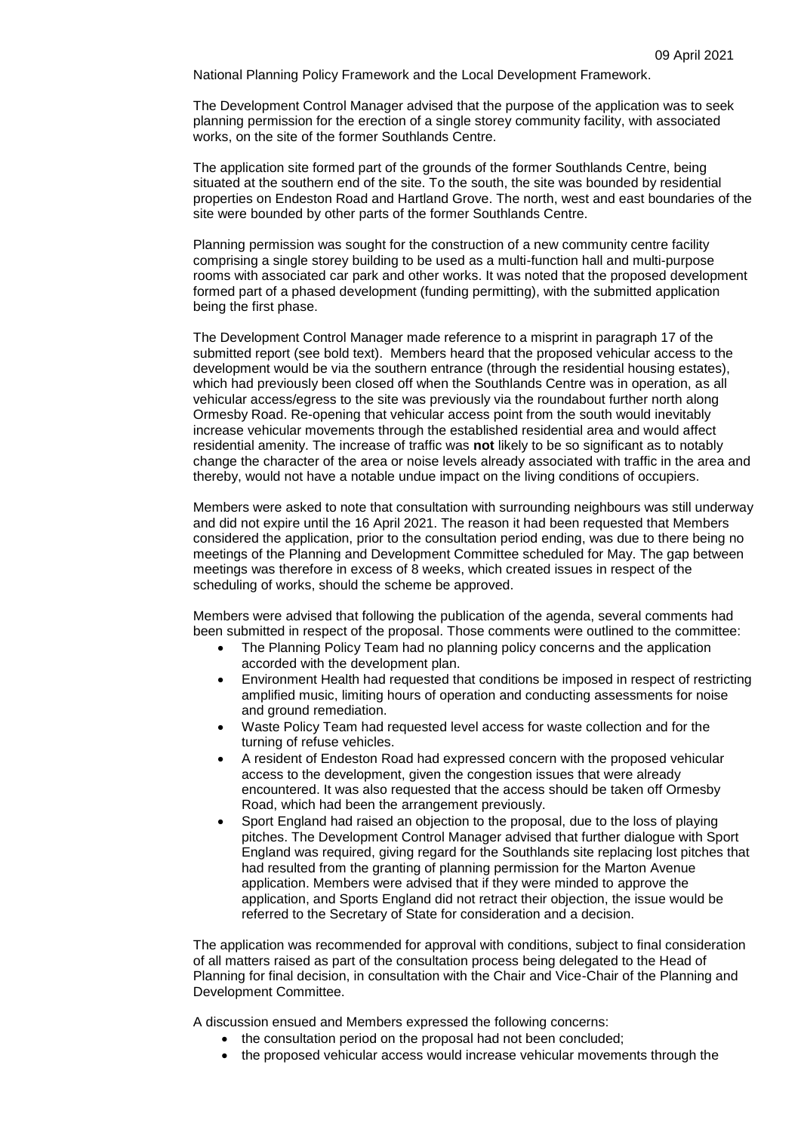National Planning Policy Framework and the Local Development Framework.

The Development Control Manager advised that the purpose of the application was to seek planning permission for the erection of a single storey community facility, with associated works, on the site of the former Southlands Centre.

The application site formed part of the grounds of the former Southlands Centre, being situated at the southern end of the site. To the south, the site was bounded by residential properties on Endeston Road and Hartland Grove. The north, west and east boundaries of the site were bounded by other parts of the former Southlands Centre.

Planning permission was sought for the construction of a new community centre facility comprising a single storey building to be used as a multi-function hall and multi-purpose rooms with associated car park and other works. It was noted that the proposed development formed part of a phased development (funding permitting), with the submitted application being the first phase.

The Development Control Manager made reference to a misprint in paragraph 17 of the submitted report (see bold text). Members heard that the proposed vehicular access to the development would be via the southern entrance (through the residential housing estates), which had previously been closed off when the Southlands Centre was in operation, as all vehicular access/egress to the site was previously via the roundabout further north along Ormesby Road. Re-opening that vehicular access point from the south would inevitably increase vehicular movements through the established residential area and would affect residential amenity. The increase of traffic was **not** likely to be so significant as to notably change the character of the area or noise levels already associated with traffic in the area and thereby, would not have a notable undue impact on the living conditions of occupiers.

Members were asked to note that consultation with surrounding neighbours was still underway and did not expire until the 16 April 2021. The reason it had been requested that Members considered the application, prior to the consultation period ending, was due to there being no meetings of the Planning and Development Committee scheduled for May. The gap between meetings was therefore in excess of 8 weeks, which created issues in respect of the scheduling of works, should the scheme be approved.

Members were advised that following the publication of the agenda, several comments had been submitted in respect of the proposal. Those comments were outlined to the committee:

- The Planning Policy Team had no planning policy concerns and the application accorded with the development plan.
- Environment Health had requested that conditions be imposed in respect of restricting amplified music, limiting hours of operation and conducting assessments for noise and ground remediation.
- Waste Policy Team had requested level access for waste collection and for the turning of refuse vehicles.
- A resident of Endeston Road had expressed concern with the proposed vehicular access to the development, given the congestion issues that were already encountered. It was also requested that the access should be taken off Ormesby Road, which had been the arrangement previously.
- Sport England had raised an objection to the proposal, due to the loss of playing pitches. The Development Control Manager advised that further dialogue with Sport England was required, giving regard for the Southlands site replacing lost pitches that had resulted from the granting of planning permission for the Marton Avenue application. Members were advised that if they were minded to approve the application, and Sports England did not retract their objection, the issue would be referred to the Secretary of State for consideration and a decision.

The application was recommended for approval with conditions, subject to final consideration of all matters raised as part of the consultation process being delegated to the Head of Planning for final decision, in consultation with the Chair and Vice-Chair of the Planning and Development Committee.

A discussion ensued and Members expressed the following concerns:

- the consultation period on the proposal had not been concluded;
- the proposed vehicular access would increase vehicular movements through the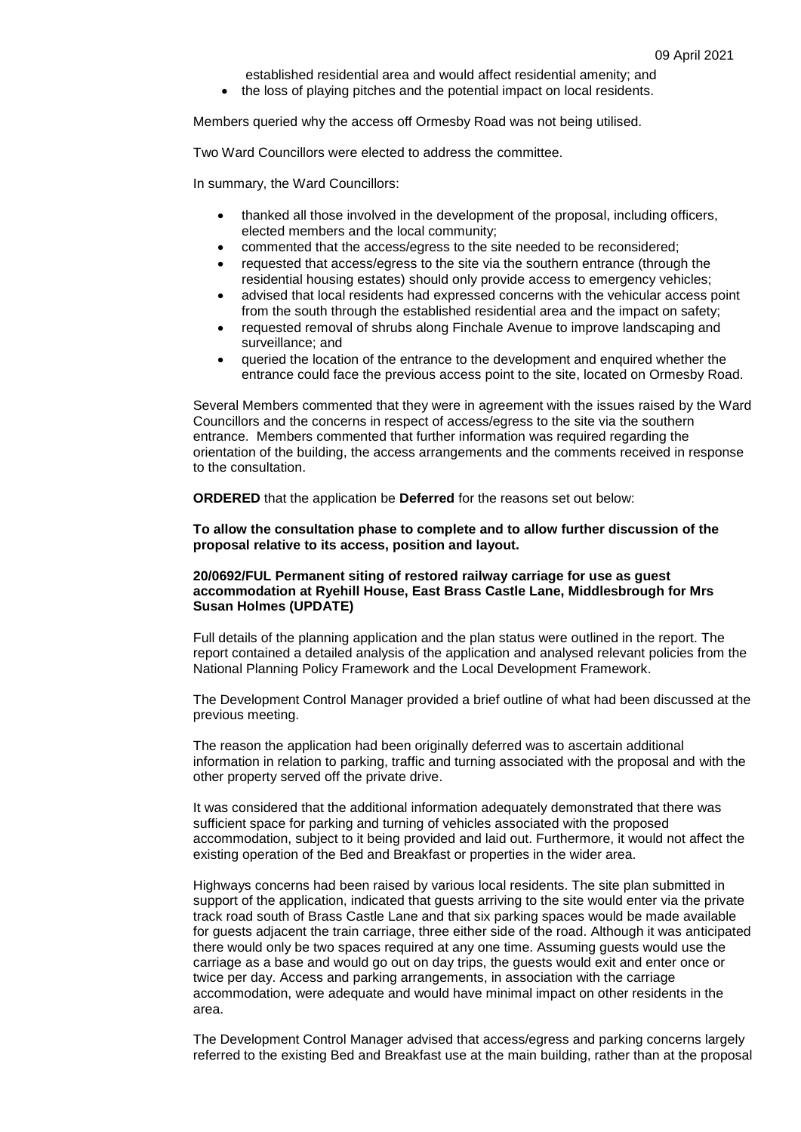established residential area and would affect residential amenity; and the loss of playing pitches and the potential impact on local residents.

Members queried why the access off Ormesby Road was not being utilised.

Two Ward Councillors were elected to address the committee.

In summary, the Ward Councillors:

- thanked all those involved in the development of the proposal, including officers, elected members and the local community;
- commented that the access/egress to the site needed to be reconsidered;
- requested that access/egress to the site via the southern entrance (through the residential housing estates) should only provide access to emergency vehicles;
- advised that local residents had expressed concerns with the vehicular access point from the south through the established residential area and the impact on safety;
- requested removal of shrubs along Finchale Avenue to improve landscaping and surveillance; and
- queried the location of the entrance to the development and enquired whether the entrance could face the previous access point to the site, located on Ormesby Road.

Several Members commented that they were in agreement with the issues raised by the Ward Councillors and the concerns in respect of access/egress to the site via the southern entrance. Members commented that further information was required regarding the orientation of the building, the access arrangements and the comments received in response to the consultation.

**ORDERED** that the application be **Deferred** for the reasons set out below:

### **To allow the consultation phase to complete and to allow further discussion of the proposal relative to its access, position and layout.**

#### **20/0692/FUL Permanent siting of restored railway carriage for use as guest accommodation at Ryehill House, East Brass Castle Lane, Middlesbrough for Mrs Susan Holmes (UPDATE)**

Full details of the planning application and the plan status were outlined in the report. The report contained a detailed analysis of the application and analysed relevant policies from the National Planning Policy Framework and the Local Development Framework.

The Development Control Manager provided a brief outline of what had been discussed at the previous meeting.

The reason the application had been originally deferred was to ascertain additional information in relation to parking, traffic and turning associated with the proposal and with the other property served off the private drive.

It was considered that the additional information adequately demonstrated that there was sufficient space for parking and turning of vehicles associated with the proposed accommodation, subject to it being provided and laid out. Furthermore, it would not affect the existing operation of the Bed and Breakfast or properties in the wider area.

Highways concerns had been raised by various local residents. The site plan submitted in support of the application, indicated that guests arriving to the site would enter via the private track road south of Brass Castle Lane and that six parking spaces would be made available for guests adjacent the train carriage, three either side of the road. Although it was anticipated there would only be two spaces required at any one time. Assuming guests would use the carriage as a base and would go out on day trips, the guests would exit and enter once or twice per day. Access and parking arrangements, in association with the carriage accommodation, were adequate and would have minimal impact on other residents in the area.

The Development Control Manager advised that access/egress and parking concerns largely referred to the existing Bed and Breakfast use at the main building, rather than at the proposal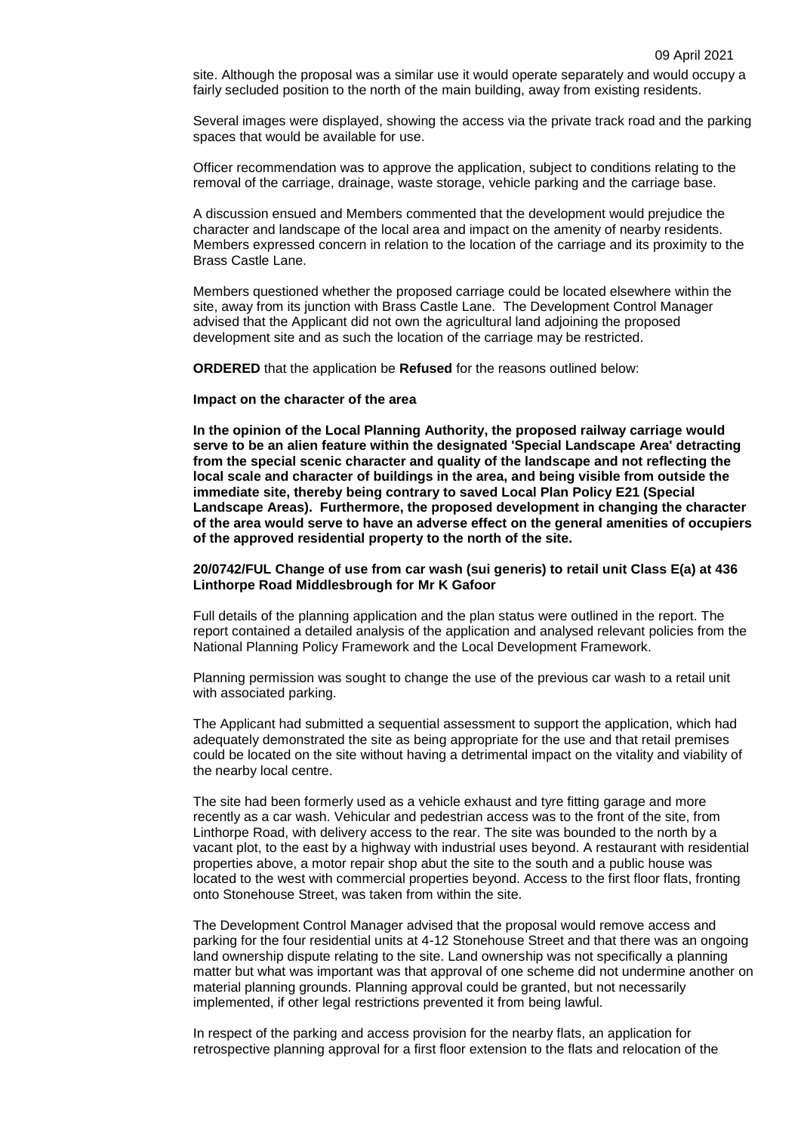site. Although the proposal was a similar use it would operate separately and would occupy a fairly secluded position to the north of the main building, away from existing residents.

Several images were displayed, showing the access via the private track road and the parking spaces that would be available for use.

Officer recommendation was to approve the application, subject to conditions relating to the removal of the carriage, drainage, waste storage, vehicle parking and the carriage base.

A discussion ensued and Members commented that the development would prejudice the character and landscape of the local area and impact on the amenity of nearby residents. Members expressed concern in relation to the location of the carriage and its proximity to the Brass Castle Lane.

Members questioned whether the proposed carriage could be located elsewhere within the site, away from its junction with Brass Castle Lane. The Development Control Manager advised that the Applicant did not own the agricultural land adjoining the proposed development site and as such the location of the carriage may be restricted.

**ORDERED** that the application be **Refused** for the reasons outlined below:

#### **Impact on the character of the area**

**In the opinion of the Local Planning Authority, the proposed railway carriage would serve to be an alien feature within the designated 'Special Landscape Area' detracting from the special scenic character and quality of the landscape and not reflecting the local scale and character of buildings in the area, and being visible from outside the immediate site, thereby being contrary to saved Local Plan Policy E21 (Special Landscape Areas). Furthermore, the proposed development in changing the character of the area would serve to have an adverse effect on the general amenities of occupiers of the approved residential property to the north of the site.**

### **20/0742/FUL Change of use from car wash (sui generis) to retail unit Class E(a) at 436 Linthorpe Road Middlesbrough for Mr K Gafoor**

Full details of the planning application and the plan status were outlined in the report. The report contained a detailed analysis of the application and analysed relevant policies from the National Planning Policy Framework and the Local Development Framework.

Planning permission was sought to change the use of the previous car wash to a retail unit with associated parking.

The Applicant had submitted a sequential assessment to support the application, which had adequately demonstrated the site as being appropriate for the use and that retail premises could be located on the site without having a detrimental impact on the vitality and viability of the nearby local centre.

The site had been formerly used as a vehicle exhaust and tyre fitting garage and more recently as a car wash. Vehicular and pedestrian access was to the front of the site, from Linthorpe Road, with delivery access to the rear. The site was bounded to the north by a vacant plot, to the east by a highway with industrial uses beyond. A restaurant with residential properties above, a motor repair shop abut the site to the south and a public house was located to the west with commercial properties beyond. Access to the first floor flats, fronting onto Stonehouse Street, was taken from within the site.

The Development Control Manager advised that the proposal would remove access and parking for the four residential units at 4-12 Stonehouse Street and that there was an ongoing land ownership dispute relating to the site. Land ownership was not specifically a planning matter but what was important was that approval of one scheme did not undermine another on material planning grounds. Planning approval could be granted, but not necessarily implemented, if other legal restrictions prevented it from being lawful.

In respect of the parking and access provision for the nearby flats, an application for retrospective planning approval for a first floor extension to the flats and relocation of the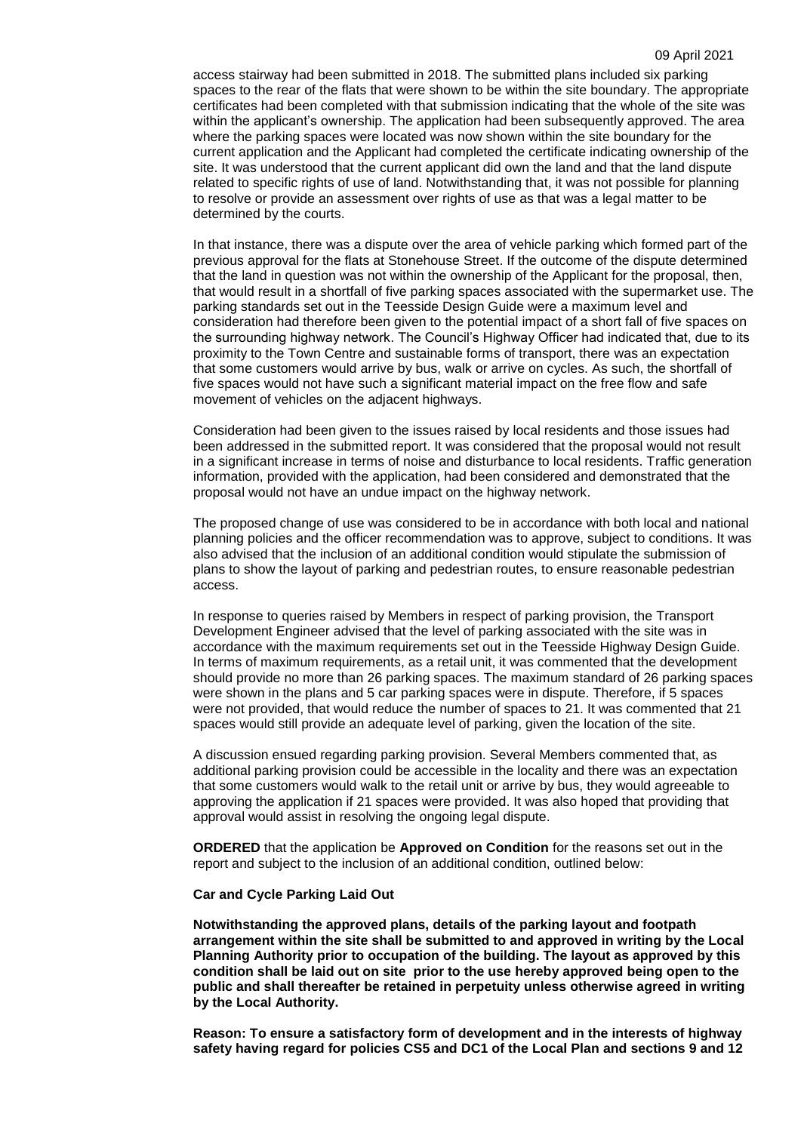access stairway had been submitted in 2018. The submitted plans included six parking spaces to the rear of the flats that were shown to be within the site boundary. The appropriate certificates had been completed with that submission indicating that the whole of the site was within the applicant's ownership. The application had been subsequently approved. The area where the parking spaces were located was now shown within the site boundary for the current application and the Applicant had completed the certificate indicating ownership of the site. It was understood that the current applicant did own the land and that the land dispute related to specific rights of use of land. Notwithstanding that, it was not possible for planning to resolve or provide an assessment over rights of use as that was a legal matter to be determined by the courts.

In that instance, there was a dispute over the area of vehicle parking which formed part of the previous approval for the flats at Stonehouse Street. If the outcome of the dispute determined that the land in question was not within the ownership of the Applicant for the proposal, then, that would result in a shortfall of five parking spaces associated with the supermarket use. The parking standards set out in the Teesside Design Guide were a maximum level and consideration had therefore been given to the potential impact of a short fall of five spaces on the surrounding highway network. The Council's Highway Officer had indicated that, due to its proximity to the Town Centre and sustainable forms of transport, there was an expectation that some customers would arrive by bus, walk or arrive on cycles. As such, the shortfall of five spaces would not have such a significant material impact on the free flow and safe movement of vehicles on the adjacent highways.

Consideration had been given to the issues raised by local residents and those issues had been addressed in the submitted report. It was considered that the proposal would not result in a significant increase in terms of noise and disturbance to local residents. Traffic generation information, provided with the application, had been considered and demonstrated that the proposal would not have an undue impact on the highway network.

The proposed change of use was considered to be in accordance with both local and national planning policies and the officer recommendation was to approve, subject to conditions. It was also advised that the inclusion of an additional condition would stipulate the submission of plans to show the layout of parking and pedestrian routes, to ensure reasonable pedestrian access.

In response to queries raised by Members in respect of parking provision, the Transport Development Engineer advised that the level of parking associated with the site was in accordance with the maximum requirements set out in the Teesside Highway Design Guide. In terms of maximum requirements, as a retail unit, it was commented that the development should provide no more than 26 parking spaces. The maximum standard of 26 parking spaces were shown in the plans and 5 car parking spaces were in dispute. Therefore, if 5 spaces were not provided, that would reduce the number of spaces to 21. It was commented that 21 spaces would still provide an adequate level of parking, given the location of the site.

A discussion ensued regarding parking provision. Several Members commented that, as additional parking provision could be accessible in the locality and there was an expectation that some customers would walk to the retail unit or arrive by bus, they would agreeable to approving the application if 21 spaces were provided. It was also hoped that providing that approval would assist in resolving the ongoing legal dispute.

**ORDERED** that the application be **Approved on Condition** for the reasons set out in the report and subject to the inclusion of an additional condition, outlined below:

# **Car and Cycle Parking Laid Out**

**Notwithstanding the approved plans, details of the parking layout and footpath arrangement within the site shall be submitted to and approved in writing by the Local Planning Authority prior to occupation of the building. The layout as approved by this condition shall be laid out on site prior to the use hereby approved being open to the public and shall thereafter be retained in perpetuity unless otherwise agreed in writing by the Local Authority.** 

**Reason: To ensure a satisfactory form of development and in the interests of highway safety having regard for policies CS5 and DC1 of the Local Plan and sections 9 and 12**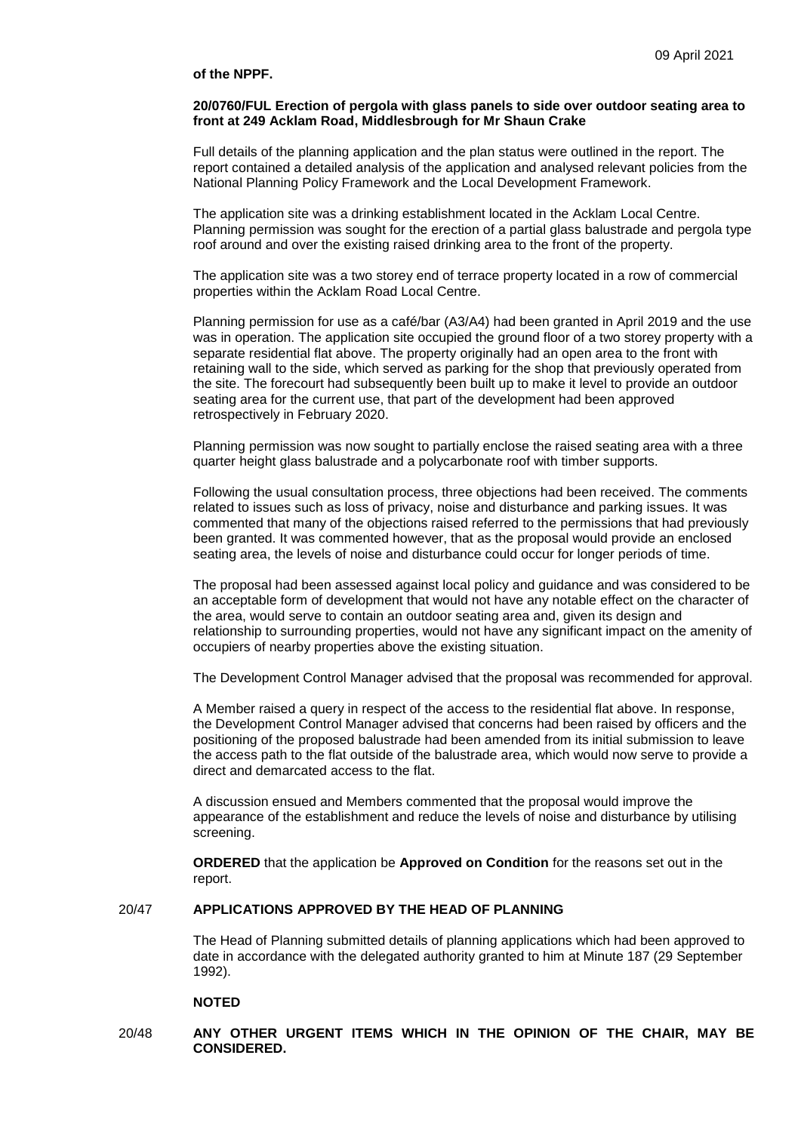#### **of the NPPF.**

#### **20/0760/FUL Erection of pergola with glass panels to side over outdoor seating area to front at 249 Acklam Road, Middlesbrough for Mr Shaun Crake**

Full details of the planning application and the plan status were outlined in the report. The report contained a detailed analysis of the application and analysed relevant policies from the National Planning Policy Framework and the Local Development Framework.

The application site was a drinking establishment located in the Acklam Local Centre. Planning permission was sought for the erection of a partial glass balustrade and pergola type roof around and over the existing raised drinking area to the front of the property.

The application site was a two storey end of terrace property located in a row of commercial properties within the Acklam Road Local Centre.

Planning permission for use as a café/bar (A3/A4) had been granted in April 2019 and the use was in operation. The application site occupied the ground floor of a two storey property with a separate residential flat above. The property originally had an open area to the front with retaining wall to the side, which served as parking for the shop that previously operated from the site. The forecourt had subsequently been built up to make it level to provide an outdoor seating area for the current use, that part of the development had been approved retrospectively in February 2020.

Planning permission was now sought to partially enclose the raised seating area with a three quarter height glass balustrade and a polycarbonate roof with timber supports.

Following the usual consultation process, three objections had been received. The comments related to issues such as loss of privacy, noise and disturbance and parking issues. It was commented that many of the objections raised referred to the permissions that had previously been granted. It was commented however, that as the proposal would provide an enclosed seating area, the levels of noise and disturbance could occur for longer periods of time.

The proposal had been assessed against local policy and guidance and was considered to be an acceptable form of development that would not have any notable effect on the character of the area, would serve to contain an outdoor seating area and, given its design and relationship to surrounding properties, would not have any significant impact on the amenity of occupiers of nearby properties above the existing situation.

The Development Control Manager advised that the proposal was recommended for approval.

A Member raised a query in respect of the access to the residential flat above. In response, the Development Control Manager advised that concerns had been raised by officers and the positioning of the proposed balustrade had been amended from its initial submission to leave the access path to the flat outside of the balustrade area, which would now serve to provide a direct and demarcated access to the flat.

A discussion ensued and Members commented that the proposal would improve the appearance of the establishment and reduce the levels of noise and disturbance by utilising screening.

**ORDERED** that the application be **Approved on Condition** for the reasons set out in the report.

#### 20/47 **APPLICATIONS APPROVED BY THE HEAD OF PLANNING**

The Head of Planning submitted details of planning applications which had been approved to date in accordance with the delegated authority granted to him at Minute 187 (29 September 1992).

# **NOTED**

# 20/48 **ANY OTHER URGENT ITEMS WHICH IN THE OPINION OF THE CHAIR, MAY BE CONSIDERED.**